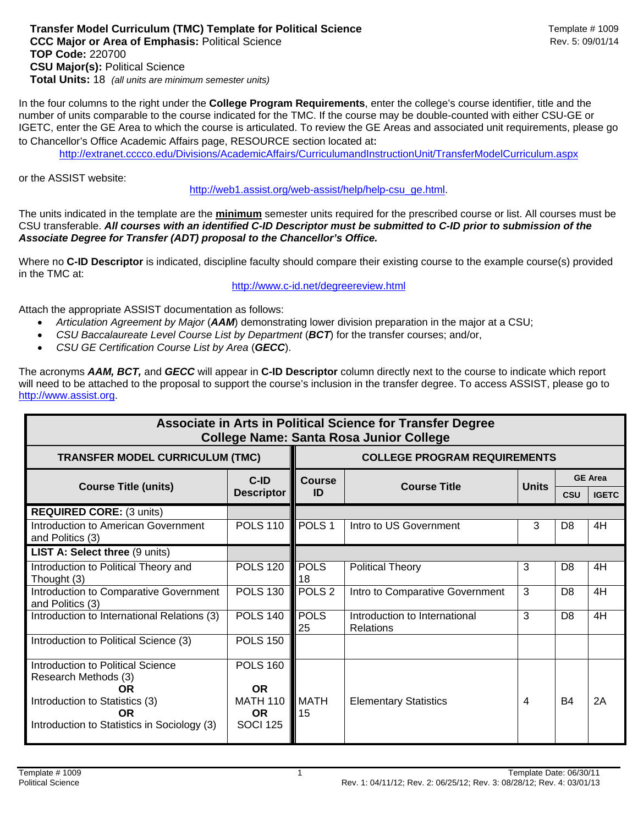## **Transfer Model Curriculum (TMC) Template for Political Science Metally According Template # 1009 CCC Major or Area of Emphasis: Political Science Rev. 5: 09/01/14** Rev. 5: 09/01/14 **TOP Code:** 220700 **CSU Major(s):** Political Science **Total Units:** 18 *(all units are minimum semester units)*

In the four columns to the right under the **College Program Requirements**, enter the college's course identifier, title and the number of units comparable to the course indicated for the TMC. If the course may be double-counted with either CSU-GE or IGETC, enter the GE Area to which the course is articulated. To review the GE Areas and associated unit requirements, please go to Chancellor's Office Academic Affairs page, RESOURCE section located at: 

http://extranet.cccco.edu/Divisions/AcademicAffairs/CurriculumandInstructionUnit/TransferModelCurriculum.aspx

or the ASSIST website:

http://web1.assist.org/web-assist/help/help-csu\_ge.html.

The units indicated in the template are the **minimum** semester units required for the prescribed course or list. All courses must be CSU transferable. *All courses with an identified C-ID Descriptor must be submitted to C-ID prior to submission of the Associate Degree for Transfer (ADT) proposal to the Chancellor's Office.*

Where no **C-ID Descriptor** is indicated, discipline faculty should compare their existing course to the example course(s) provided in the TMC at:

http://www.c-id.net/degreereview.html

Attach the appropriate ASSIST documentation as follows:

- *Articulation Agreement by Major* (*AAM*) demonstrating lower division preparation in the major at a CSU;
- *CSU Baccalaureate Level Course List by Department* (*BCT*) for the transfer courses; and/or,
- *CSU GE Certification Course List by Area* (*GECC*).

The acronyms *AAM, BCT,* and *GECC* will appear in **C-ID Descriptor** column directly next to the course to indicate which report will need to be attached to the proposal to support the course's inclusion in the transfer degree. To access ASSIST, please go to http://www.assist.org.

| Associate in Arts in Political Science for Transfer Degree<br><b>College Name: Santa Rosa Junior College</b> |                                                    |                                     |                                            |                |                |              |  |  |  |  |  |
|--------------------------------------------------------------------------------------------------------------|----------------------------------------------------|-------------------------------------|--------------------------------------------|----------------|----------------|--------------|--|--|--|--|--|
| <b>TRANSFER MODEL CURRICULUM (TMC)</b>                                                                       |                                                    | <b>COLLEGE PROGRAM REQUIREMENTS</b> |                                            |                |                |              |  |  |  |  |  |
| <b>Course Title (units)</b>                                                                                  | $C-ID$<br><b>Course</b><br><b>Descriptor</b><br>ID | <b>Course Title</b>                 | <b>Units</b>                               | <b>GE Area</b> |                |              |  |  |  |  |  |
|                                                                                                              |                                                    |                                     |                                            |                | <b>CSU</b>     | <b>IGETC</b> |  |  |  |  |  |
| <b>REQUIRED CORE: (3 units)</b>                                                                              |                                                    |                                     |                                            |                |                |              |  |  |  |  |  |
| Introduction to American Government<br>and Politics (3)                                                      | <b>POLS 110</b>                                    | POLS <sub>1</sub>                   | Intro to US Government                     | 3              | D <sub>8</sub> | 4H           |  |  |  |  |  |
| LIST A: Select three (9 units)                                                                               |                                                    |                                     |                                            |                |                |              |  |  |  |  |  |
| Introduction to Political Theory and<br>Thought (3)                                                          | <b>POLS 120</b>                                    | <b>POLS</b><br>18                   | <b>Political Theory</b>                    | 3              | D <sub>8</sub> | 4H           |  |  |  |  |  |
| Introduction to Comparative Government<br>and Politics (3)                                                   | <b>POLS 130</b>                                    | POLS <sub>2</sub>                   | Intro to Comparative Government            | 3              | D <sub>8</sub> | 4H           |  |  |  |  |  |
| Introduction to International Relations (3)                                                                  | <b>POLS 140</b>                                    | <b>POLS</b><br>25                   | Introduction to International<br>Relations | 3              | D <sub>8</sub> | 4H           |  |  |  |  |  |
| Introduction to Political Science (3)                                                                        | <b>POLS 150</b>                                    |                                     |                                            |                |                |              |  |  |  |  |  |
| Introduction to Political Science<br>Research Methods (3)<br><b>OR</b>                                       | <b>POLS 160</b><br><b>OR</b>                       |                                     |                                            |                |                |              |  |  |  |  |  |
| Introduction to Statistics (3)<br><b>OR</b><br>Introduction to Statistics in Sociology (3)                   | <b>MATH 110</b><br><b>OR</b><br><b>SOCI 125</b>    | MATH<br>15                          | <b>Elementary Statistics</b>               | 4              | <b>B4</b>      | 2A           |  |  |  |  |  |